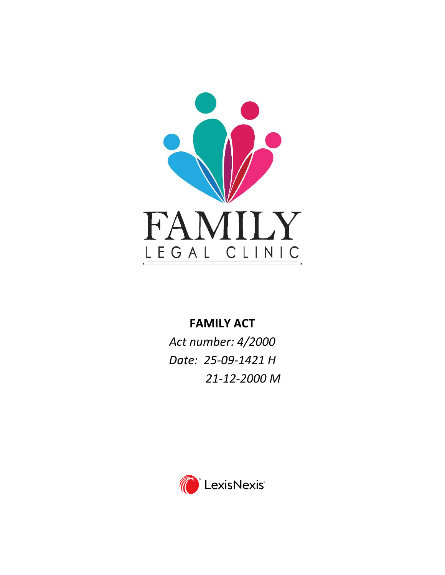

# **FAMILY ACT**

*Act number: 4/2000 Date: 25-09-1421 H 21-12-2000 M*

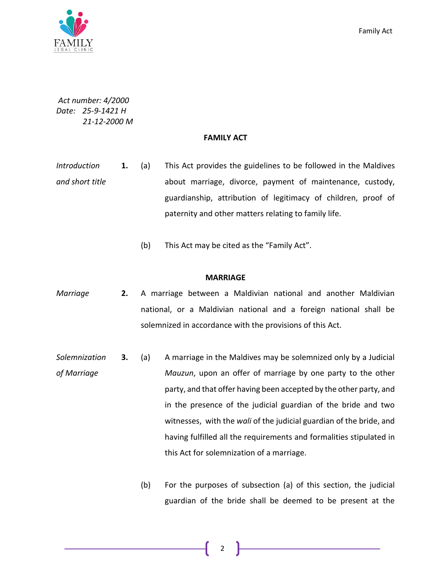

*Act number: 4/2000 Date: 25-9-1421 H 21-12-2000 M*

## **FAMILY ACT**

- *Introduction and short title* **1.** (a) This Act provides the guidelines to be followed in the Maldives about marriage, divorce, payment of maintenance, custody, guardianship, attribution of legitimacy of children, proof of paternity and other matters relating to family life.
	- (b) This Act may be cited as the "Family Act".

## **MARRIAGE**

- *Marriage* **2.** A marriage between a Maldivian national and another Maldivian national, or a Maldivian national and a foreign national shall be solemnized in accordance with the provisions of this Act.
- *Solemnization of Marriage*  **3.** (a) A marriage in the Maldives may be solemnized only by a Judicial *Mauzun*, upon an offer of marriage by one party to the other party, and that offer having been accepted by the other party, and in the presence of the judicial guardian of the bride and two witnesses, with the *wali* of the judicial guardian of the bride, and having fulfilled all the requirements and formalities stipulated in this Act for solemnization of a marriage.
	- (b) For the purposes of subsection (a) of this section, the judicial guardian of the bride shall be deemed to be present at the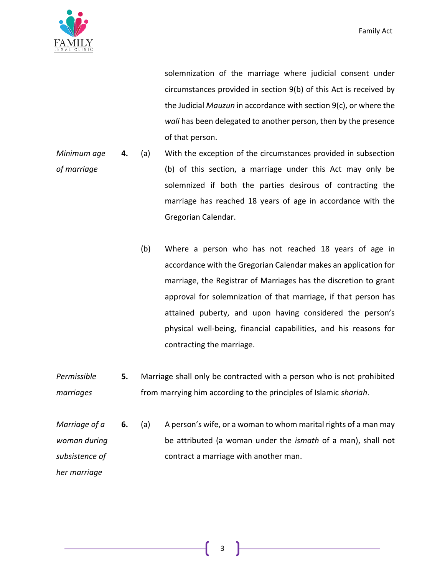

solemnization of the marriage where judicial consent under circumstances provided in section 9(b) of this Act is received by the Judicial *Mauzun* in accordance with section 9(c), or where the *wali* has been delegated to another person, then by the presence of that person.

- *Minimum age of marriage* **4.** (a) With the exception of the circumstances provided in subsection (b) of this section, a marriage under this Act may only be solemnized if both the parties desirous of contracting the marriage has reached 18 years of age in accordance with the Gregorian Calendar.
	- (b) Where a person who has not reached 18 years of age in accordance with the Gregorian Calendar makes an application for marriage, the Registrar of Marriages has the discretion to grant approval for solemnization of that marriage, if that person has attained puberty, and upon having considered the person's physical well-being, financial capabilities, and his reasons for contracting the marriage.
- *Permissible marriages* **5.** Marriage shall only be contracted with a person who is not prohibited from marrying him according to the principles of Islamic *shariah*.
- *Marriage of a woman during subsistence of*  **6.** (a) A person's wife, or a woman to whom marital rights of a man may be attributed (a woman under the *ismath* of a man), shall not contract a marriage with another man.

*her marriage*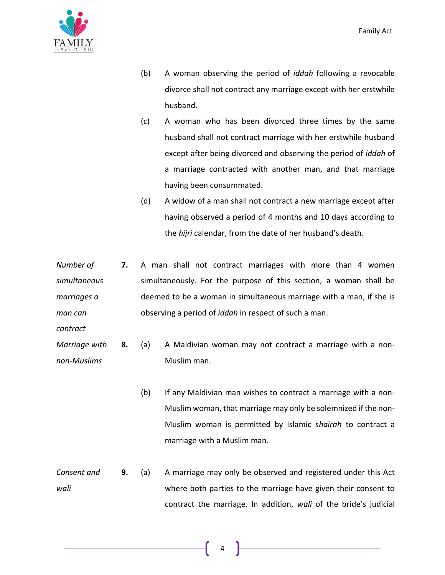

- (b) A woman observing the period of *iddah* following a revocable divorce shall not contract any marriage except with her erstwhile husband.
- (c) A woman who has been divorced three times by the same husband shall not contract marriage with her erstwhile husband except after being divorced and observing the period of *iddah* of a marriage contracted with another man, and that marriage having been consummated.
- (d) A widow of a man shall not contract a new marriage except after having observed a period of 4 months and 10 days according to the *hijri* calendar, from the date of her husband's death.
- *Number of simultaneous marriages a man can*  **7.** A man shall not contract marriages with more than 4 women simultaneously. For the purpose of this section, a woman shall be deemed to be a woman in simultaneous marriage with a man, if she is observing a period of *iddah* in respect of such a man.
- *contract*
- *Marriage with non-Muslims* **8.** (a) A Maldivian woman may not contract a marriage with a non-Muslim man.
	- (b) If any Maldivian man wishes to contract a marriage with a non-Muslim woman, that marriage may only be solemnized if the non-Muslim woman is permitted by Islamic s*hairah* to contract a marriage with a Muslim man.
- *Consent and wali* **9.** (a) A marriage may only be observed and registered under this Act where both parties to the marriage have given their consent to contract the marriage. In addition, *wali* of the bride's judicial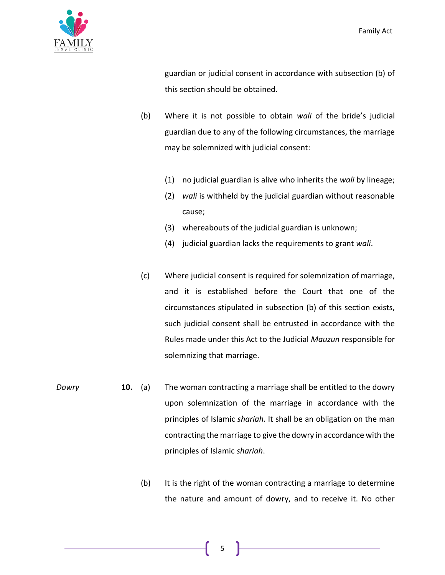

guardian or judicial consent in accordance with subsection (b) of this section should be obtained.

- (b) Where it is not possible to obtain *wali* of the bride's judicial guardian due to any of the following circumstances, the marriage may be solemnized with judicial consent:
	- (1) no judicial guardian is alive who inherits the *wali* by lineage;
	- (2) *wali* is withheld by the judicial guardian without reasonable cause;
	- (3) whereabouts of the judicial guardian is unknown;
	- (4) judicial guardian lacks the requirements to grant *wali*.
- (c) Where judicial consent is required for solemnization of marriage, and it is established before the Court that one of the circumstances stipulated in subsection (b) of this section exists, such judicial consent shall be entrusted in accordance with the Rules made under this Act to the Judicial *Mauzun* responsible for solemnizing that marriage.
- *Dowry* **10.** (a) The woman contracting a marriage shall be entitled to the dowry upon solemnization of the marriage in accordance with the principles of Islamic *shariah*. It shall be an obligation on the man contracting the marriage to give the dowry in accordance with the principles of Islamic *shariah*.
	- (b) It is the right of the woman contracting a marriage to determine the nature and amount of dowry, and to receive it. No other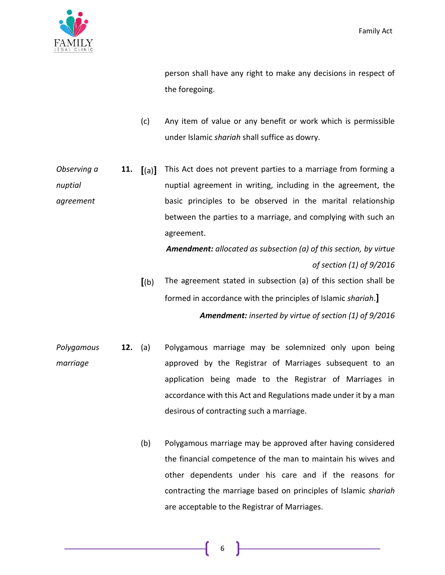

person shall have any right to make any decisions in respect of the foregoing.

- (c) Any item of value or any benefit or work which is permissible under Islamic *shariah* shall suffice as dowry.
- *Observing a nuptial agreement* **11. [**(a)**]** This Act does not prevent parties to a marriage from forming a nuptial agreement in writing, including in the agreement, the basic principles to be observed in the marital relationship between the parties to a marriage, and complying with such an agreement.

*Amendment: allocated as subsection (a) of this section, by virtue of section (1) of 9/2016*

- **[**(b) The agreement stated in subsection (a) of this section shall be formed in accordance with the principles of Islamic *shariah*.**]** *Amendment: inserted by virtue of section (1) of 9/2016*
- *Polygamous marriage* **12.** (a) Polygamous marriage may be solemnized only upon being approved by the Registrar of Marriages subsequent to an application being made to the Registrar of Marriages in accordance with this Act and Regulations made under it by a man desirous of contracting such a marriage.
	- (b) Polygamous marriage may be approved after having considered the financial competence of the man to maintain his wives and other dependents under his care and if the reasons for contracting the marriage based on principles of Islamic *shariah* are acceptable to the Registrar of Marriages.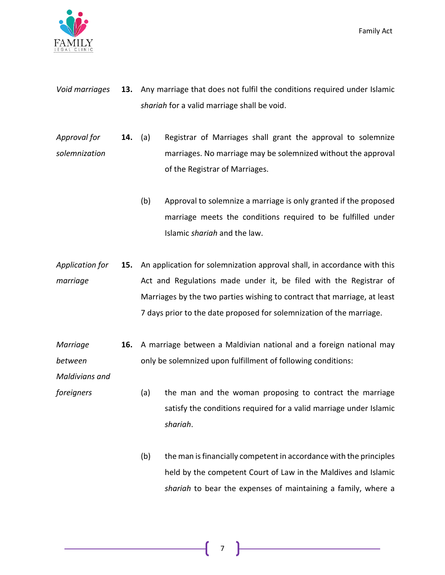

- *Void marriages* **13.** Any marriage that does not fulfil the conditions required under Islamic *shariah* for a valid marriage shall be void.
- *Approval for solemnization* **14.** (a) Registrar of Marriages shall grant the approval to solemnize marriages. No marriage may be solemnized without the approval of the Registrar of Marriages.
	- (b) Approval to solemnize a marriage is only granted if the proposed marriage meets the conditions required to be fulfilled under Islamic *shariah* and the law.
- *Application for marriage* **15.** An application for solemnization approval shall, in accordance with this Act and Regulations made under it, be filed with the Registrar of Marriages by the two parties wishing to contract that marriage, at least 7 days prior to the date proposed for solemnization of the marriage.
- *Marriage between*  **16.** A marriage between a Maldivian national and a foreign national may only be solemnized upon fulfillment of following conditions:

*Maldivians and* 

- *foreigners* (a) the man and the woman proposing to contract the marriage satisfy the conditions required for a valid marriage under Islamic *shariah*.
	- (b) the man is financially competent in accordance with the principles held by the competent Court of Law in the Maldives and Islamic *shariah* to bear the expenses of maintaining a family, where a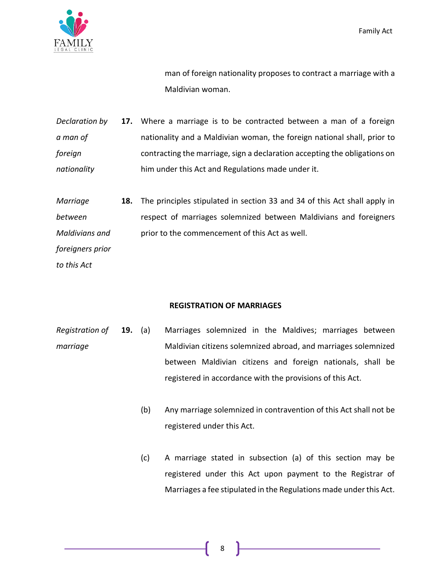

man of foreign nationality proposes to contract a marriage with a Maldivian woman.

- *Declaration by a man of foreign nationality* **17.** Where a marriage is to be contracted between a man of a foreign nationality and a Maldivian woman, the foreign national shall, prior to contracting the marriage, sign a declaration accepting the obligations on him under this Act and Regulations made under it.
- *Marriage between Maldivians and foreigners prior*  **18.** The principles stipulated in section 33 and 34 of this Act shall apply in respect of marriages solemnized between Maldivians and foreigners prior to the commencement of this Act as well.

*to this Act*

# **REGISTRATION OF MARRIAGES**

- *Registration of marriage* **19.** (a) Marriages solemnized in the Maldives; marriages between Maldivian citizens solemnized abroad, and marriages solemnized between Maldivian citizens and foreign nationals, shall be registered in accordance with the provisions of this Act.
	- (b) Any marriage solemnized in contravention of this Act shall not be registered under this Act.
	- (c) A marriage stated in subsection (a) of this section may be registered under this Act upon payment to the Registrar of Marriages a fee stipulated in the Regulations made under this Act.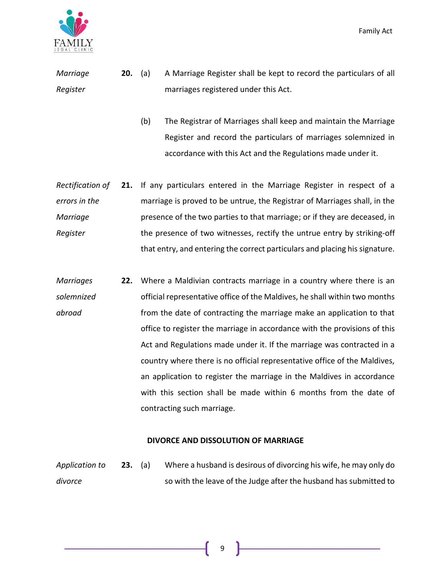

*Marriage Register* **20.** (a) A Marriage Register shall be kept to record the particulars of all marriages registered under this Act.

> (b) The Registrar of Marriages shall keep and maintain the Marriage Register and record the particulars of marriages solemnized in accordance with this Act and the Regulations made under it.

*Rectification of errors in the Marriage Register* **21.** If any particulars entered in the Marriage Register in respect of a marriage is proved to be untrue, the Registrar of Marriages shall, in the presence of the two parties to that marriage; or if they are deceased, in the presence of two witnesses, rectify the untrue entry by striking-off that entry, and entering the correct particulars and placing his signature.

*Marriages solemnized abroad* **22.** Where a Maldivian contracts marriage in a country where there is an official representative office of the Maldives, he shall within two months from the date of contracting the marriage make an application to that office to register the marriage in accordance with the provisions of this Act and Regulations made under it. If the marriage was contracted in a country where there is no official representative office of the Maldives, an application to register the marriage in the Maldives in accordance with this section shall be made within 6 months from the date of contracting such marriage.

#### **DIVORCE AND DISSOLUTION OF MARRIAGE**

*Application to divorce* **23.** (a) Where a husband is desirous of divorcing his wife, he may only do so with the leave of the Judge after the husband has submitted to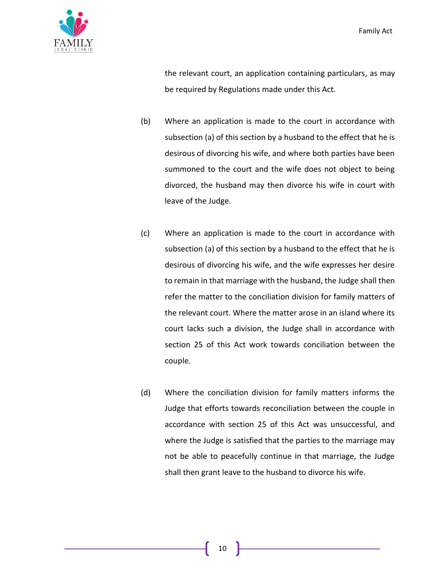

the relevant court, an application containing particulars, as may be required by Regulations made under this Act.

- (b) Where an application is made to the court in accordance with subsection (a) of this section by a husband to the effect that he is desirous of divorcing his wife, and where both parties have been summoned to the court and the wife does not object to being divorced, the husband may then divorce his wife in court with leave of the Judge.
- (c) Where an application is made to the court in accordance with subsection (a) of this section by a husband to the effect that he is desirous of divorcing his wife, and the wife expresses her desire to remain in that marriage with the husband, the Judge shall then refer the matter to the conciliation division for family matters of the relevant court. Where the matter arose in an island where its court lacks such a division, the Judge shall in accordance with section 25 of this Act work towards conciliation between the couple.
- (d) Where the conciliation division for family matters informs the Judge that efforts towards reconciliation between the couple in accordance with section 25 of this Act was unsuccessful, and where the Judge is satisfied that the parties to the marriage may not be able to peacefully continue in that marriage, the Judge shall then grant leave to the husband to divorce his wife.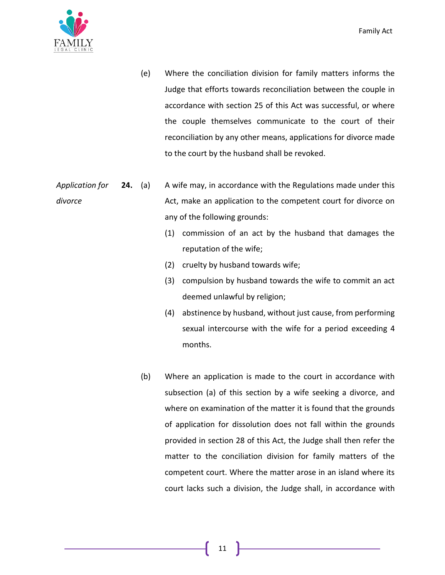

- (e) Where the conciliation division for family matters informs the Judge that efforts towards reconciliation between the couple in accordance with section 25 of this Act was successful, or where the couple themselves communicate to the court of their reconciliation by any other means, applications for divorce made to the court by the husband shall be revoked.
- *Application for divorce* **24.** (a) A wife may, in accordance with the Regulations made under this Act, make an application to the competent court for divorce on any of the following grounds:
	- (1) commission of an act by the husband that damages the reputation of the wife;
	- (2) cruelty by husband towards wife;
	- (3) compulsion by husband towards the wife to commit an act deemed unlawful by religion;
	- (4) abstinence by husband, without just cause, from performing sexual intercourse with the wife for a period exceeding 4 months.
	- (b) Where an application is made to the court in accordance with subsection (a) of this section by a wife seeking a divorce, and where on examination of the matter it is found that the grounds of application for dissolution does not fall within the grounds provided in section 28 of this Act, the Judge shall then refer the matter to the conciliation division for family matters of the competent court. Where the matter arose in an island where its court lacks such a division, the Judge shall, in accordance with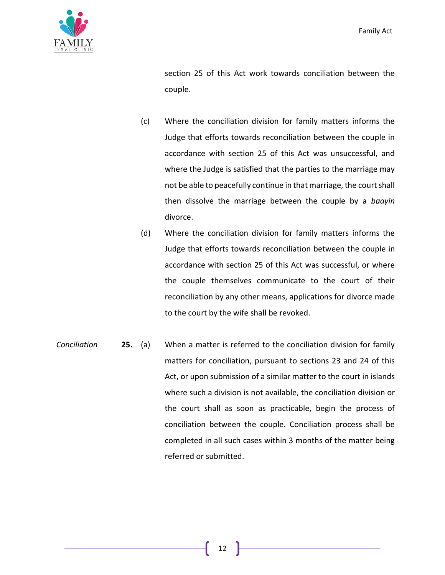

section 25 of this Act work towards conciliation between the couple.

- (c) Where the conciliation division for family matters informs the Judge that efforts towards reconciliation between the couple in accordance with section 25 of this Act was unsuccessful, and where the Judge is satisfied that the parties to the marriage may not be able to peacefully continue in that marriage, the court shall then dissolve the marriage between the couple by a *baayin* divorce.
- (d) Where the conciliation division for family matters informs the Judge that efforts towards reconciliation between the couple in accordance with section 25 of this Act was successful, or where the couple themselves communicate to the court of their reconciliation by any other means, applications for divorce made to the court by the wife shall be revoked.
- *Conciliation* **25.** (a) When a matter is referred to the conciliation division for family matters for conciliation, pursuant to sections 23 and 24 of this Act, or upon submission of a similar matter to the court in islands where such a division is not available, the conciliation division or the court shall as soon as practicable, begin the process of conciliation between the couple. Conciliation process shall be completed in all such cases within 3 months of the matter being referred or submitted.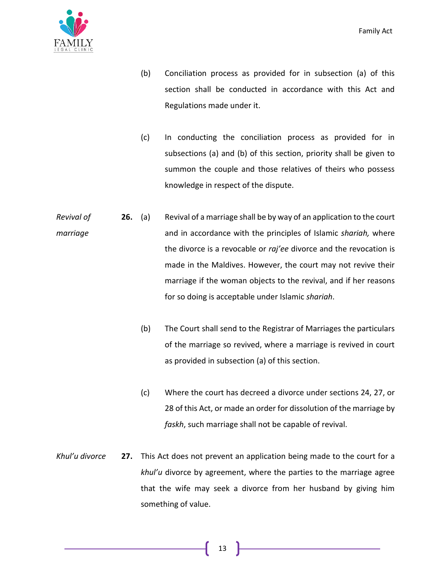

- (b) Conciliation process as provided for in subsection (a) of this section shall be conducted in accordance with this Act and Regulations made under it.
- (c) In conducting the conciliation process as provided for in subsections (a) and (b) of this section, priority shall be given to summon the couple and those relatives of theirs who possess knowledge in respect of the dispute.
- *Revival of marriage* **26.** (a) Revival of a marriage shall be by way of an application to the court and in accordance with the principles of Islamic *shariah,* where the divorce is a revocable or *raj'ee* divorce and the revocation is made in the Maldives. However, the court may not revive their marriage if the woman objects to the revival, and if her reasons for so doing is acceptable under Islamic *shariah*.
	- (b) The Court shall send to the Registrar of Marriages the particulars of the marriage so revived, where a marriage is revived in court as provided in subsection (a) of this section.
	- (c) Where the court has decreed a divorce under sections 24, 27, or 28 of this Act, or made an order for dissolution of the marriage by *faskh*, such marriage shall not be capable of revival.
- *Khul'u divorce* **27.** This Act does not prevent an application being made to the court for a *khul'u* divorce by agreement, where the parties to the marriage agree that the wife may seek a divorce from her husband by giving him something of value.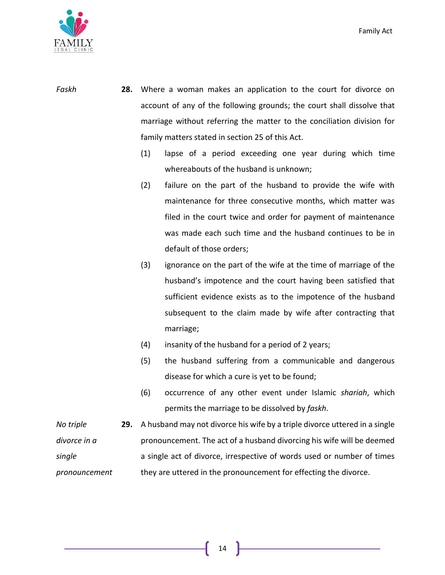

- *Faskh* **28.** Where a woman makes an application to the court for divorce on account of any of the following grounds; the court shall dissolve that marriage without referring the matter to the conciliation division for family matters stated in section 25 of this Act.
	- (1) lapse of a period exceeding one year during which time whereabouts of the husband is unknown;
	- (2) failure on the part of the husband to provide the wife with maintenance for three consecutive months, which matter was filed in the court twice and order for payment of maintenance was made each such time and the husband continues to be in default of those orders;
	- (3) ignorance on the part of the wife at the time of marriage of the husband's impotence and the court having been satisfied that sufficient evidence exists as to the impotence of the husband subsequent to the claim made by wife after contracting that marriage;
	- (4) insanity of the husband for a period of 2 years;
	- (5) the husband suffering from a communicable and dangerous disease for which a cure is yet to be found;
	- (6) occurrence of any other event under Islamic *shariah*, which permits the marriage to be dissolved by *faskh*.
- *No triple divorce in a single pronouncement* **29.** A husband may not divorce his wife by a triple divorce uttered in a single pronouncement. The act of a husband divorcing his wife will be deemed a single act of divorce, irrespective of words used or number of times they are uttered in the pronouncement for effecting the divorce.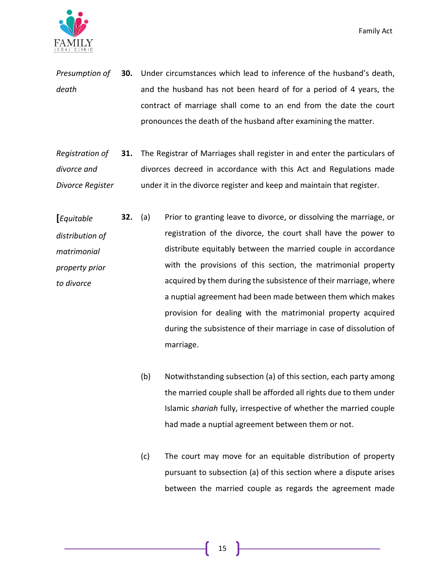

- *Presumption of death* **30.** Under circumstances which lead to inference of the husband's death, and the husband has not been heard of for a period of 4 years, the contract of marriage shall come to an end from the date the court pronounces the death of the husband after examining the matter.
- *Registration of divorce and Divorce Register* **31.** The Registrar of Marriages shall register in and enter the particulars of divorces decreed in accordance with this Act and Regulations made under it in the divorce register and keep and maintain that register.
- **[***Equitable distribution of matrimonial property prior to divorce* **32.** (a) Prior to granting leave to divorce, or dissolving the marriage, or registration of the divorce, the court shall have the power to distribute equitably between the married couple in accordance with the provisions of this section, the matrimonial property acquired by them during the subsistence of their marriage, where a nuptial agreement had been made between them which makes provision for dealing with the matrimonial property acquired during the subsistence of their marriage in case of dissolution of marriage.
	- (b) Notwithstanding subsection (a) of this section, each party among the married couple shall be afforded all rights due to them under Islamic *shariah* fully, irrespective of whether the married couple had made a nuptial agreement between them or not.
	- (c) The court may move for an equitable distribution of property pursuant to subsection (a) of this section where a dispute arises between the married couple as regards the agreement made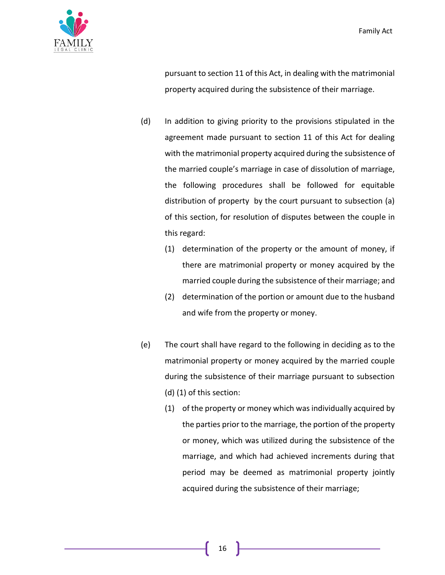

pursuant to section 11 of this Act, in dealing with the matrimonial property acquired during the subsistence of their marriage.

- (d) In addition to giving priority to the provisions stipulated in the agreement made pursuant to section 11 of this Act for dealing with the matrimonial property acquired during the subsistence of the married couple's marriage in case of dissolution of marriage, the following procedures shall be followed for equitable distribution of property by the court pursuant to subsection (a) of this section, for resolution of disputes between the couple in this regard:
	- (1) determination of the property or the amount of money, if there are matrimonial property or money acquired by the married couple during the subsistence of their marriage; and
	- (2) determination of the portion or amount due to the husband and wife from the property or money.
- (e) The court shall have regard to the following in deciding as to the matrimonial property or money acquired by the married couple during the subsistence of their marriage pursuant to subsection (d) (1) of this section:
	- (1) of the property or money which was individually acquired by the parties prior to the marriage, the portion of the property or money, which was utilized during the subsistence of the marriage, and which had achieved increments during that period may be deemed as matrimonial property jointly acquired during the subsistence of their marriage;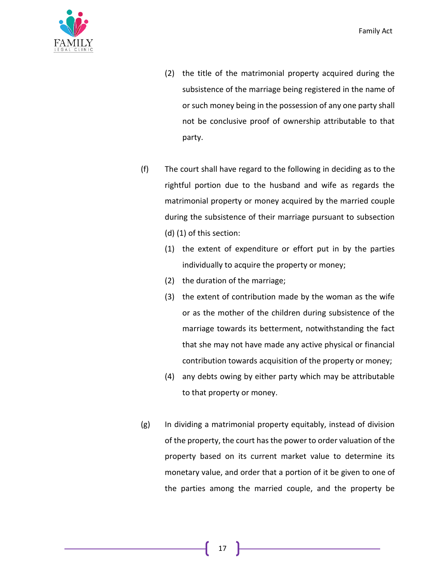

- (2) the title of the matrimonial property acquired during the subsistence of the marriage being registered in the name of or such money being in the possession of any one party shall not be conclusive proof of ownership attributable to that party.
- (f) The court shall have regard to the following in deciding as to the rightful portion due to the husband and wife as regards the matrimonial property or money acquired by the married couple during the subsistence of their marriage pursuant to subsection (d) (1) of this section:
	- (1) the extent of expenditure or effort put in by the parties individually to acquire the property or money;
	- (2) the duration of the marriage;
	- (3) the extent of contribution made by the woman as the wife or as the mother of the children during subsistence of the marriage towards its betterment, notwithstanding the fact that she may not have made any active physical or financial contribution towards acquisition of the property or money;
	- (4) any debts owing by either party which may be attributable to that property or money.
- (g) In dividing a matrimonial property equitably, instead of division of the property, the court has the power to order valuation of the property based on its current market value to determine its monetary value, and order that a portion of it be given to one of the parties among the married couple, and the property be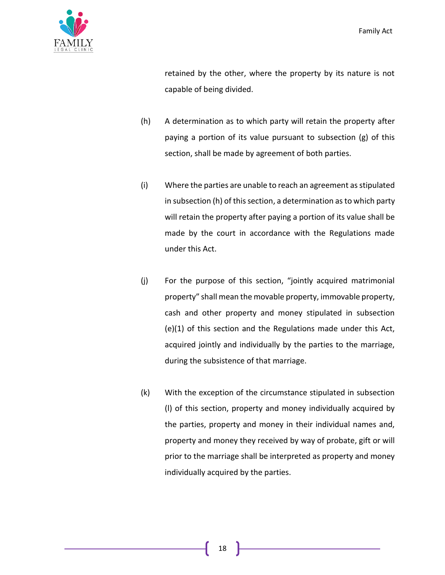

retained by the other, where the property by its nature is not capable of being divided.

- (h) A determination as to which party will retain the property after paying a portion of its value pursuant to subsection (g) of this section, shall be made by agreement of both parties.
- (i) Where the parties are unable to reach an agreement as stipulated in subsection (h) of this section, a determination as to which party will retain the property after paying a portion of its value shall be made by the court in accordance with the Regulations made under this Act.
- (j) For the purpose of this section, "jointly acquired matrimonial property" shall mean the movable property, immovable property, cash and other property and money stipulated in subsection (e)(1) of this section and the Regulations made under this Act, acquired jointly and individually by the parties to the marriage, during the subsistence of that marriage.
- (k) With the exception of the circumstance stipulated in subsection (l) of this section, property and money individually acquired by the parties, property and money in their individual names and, property and money they received by way of probate, gift or will prior to the marriage shall be interpreted as property and money individually acquired by the parties.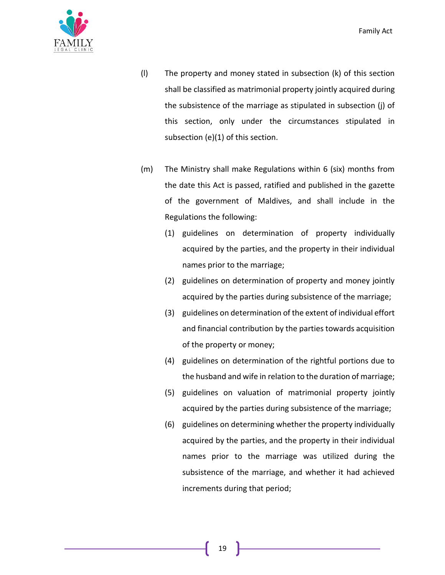

- (l) The property and money stated in subsection (k) of this section shall be classified as matrimonial property jointly acquired during the subsistence of the marriage as stipulated in subsection (j) of this section, only under the circumstances stipulated in subsection (e)(1) of this section.
- (m) The Ministry shall make Regulations within 6 (six) months from the date this Act is passed, ratified and published in the gazette of the government of Maldives, and shall include in the Regulations the following:
	- (1) guidelines on determination of property individually acquired by the parties, and the property in their individual names prior to the marriage;
	- (2) guidelines on determination of property and money jointly acquired by the parties during subsistence of the marriage;
	- (3) guidelines on determination of the extent of individual effort and financial contribution by the parties towards acquisition of the property or money;
	- (4) guidelines on determination of the rightful portions due to the husband and wife in relation to the duration of marriage;
	- (5) guidelines on valuation of matrimonial property jointly acquired by the parties during subsistence of the marriage;
	- (6) guidelines on determining whether the property individually acquired by the parties, and the property in their individual names prior to the marriage was utilized during the subsistence of the marriage, and whether it had achieved increments during that period;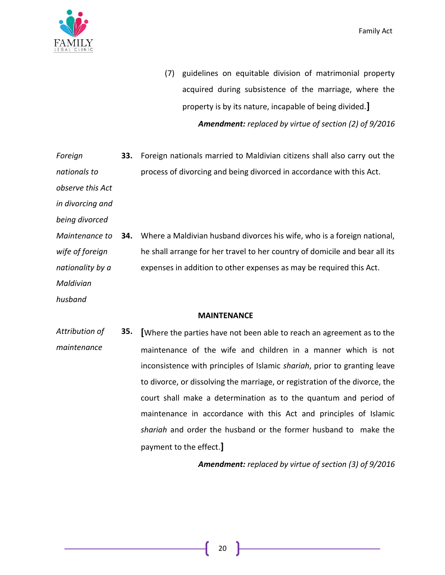

- (7) guidelines on equitable division of matrimonial property acquired during subsistence of the marriage, where the property is by its nature, incapable of being divided.**]** *Amendment: replaced by virtue of section (2) of 9/2016*
- *Foreign nationals to*  **33.** Foreign nationals married to Maldivian citizens shall also carry out the process of divorcing and being divorced in accordance with this Act.
- *observe this Act*

*in divorcing and* 

*being divorced*

*Maintenance to wife of foreign nationality by a*  **34.** Where a Maldivian husband divorces his wife, who is a foreign national, he shall arrange for her travel to her country of domicile and bear all its expenses in addition to other expenses as may be required this Act.

*Maldivian* 

*husband*

# **MAINTENANCE**

*Attribution of maintenance* **35. [**Where the parties have not been able to reach an agreement as to the maintenance of the wife and children in a manner which is not inconsistence with principles of Islamic *shariah*, prior to granting leave to divorce, or dissolving the marriage, or registration of the divorce, the court shall make a determination as to the quantum and period of maintenance in accordance with this Act and principles of Islamic *shariah* and order the husband or the former husband to make the payment to the effect.**]**

*Amendment: replaced by virtue of section (3) of 9/2016*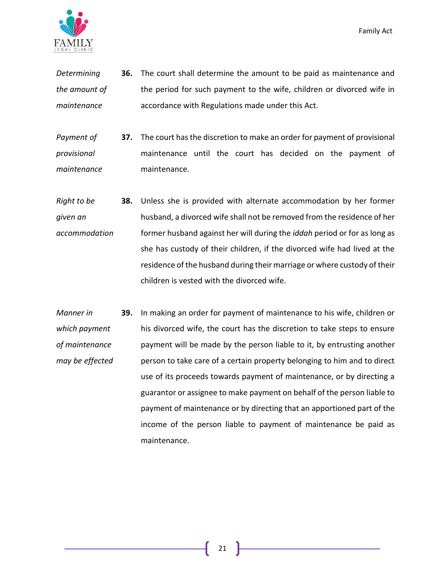

- *Determining the amount of maintenance* **36.** The court shall determine the amount to be paid as maintenance and the period for such payment to the wife, children or divorced wife in accordance with Regulations made under this Act.
- *Payment of provisional maintenance* **37.** The court has the discretion to make an order for payment of provisional maintenance until the court has decided on the payment of maintenance.
- *Right to be given an accommodation* **38.** Unless she is provided with alternate accommodation by her former husband, a divorced wife shall not be removed from the residence of her former husband against her will during the *iddah* period or for as long as she has custody of their children, if the divorced wife had lived at the residence of the husband during their marriage or where custody of their children is vested with the divorced wife.
- *Manner in which payment of maintenance may be effected* **39.** In making an order for payment of maintenance to his wife, children or his divorced wife, the court has the discretion to take steps to ensure payment will be made by the person liable to it, by entrusting another person to take care of a certain property belonging to him and to direct use of its proceeds towards payment of maintenance, or by directing a guarantor or assignee to make payment on behalf of the person liable to payment of maintenance or by directing that an apportioned part of the income of the person liable to payment of maintenance be paid as maintenance.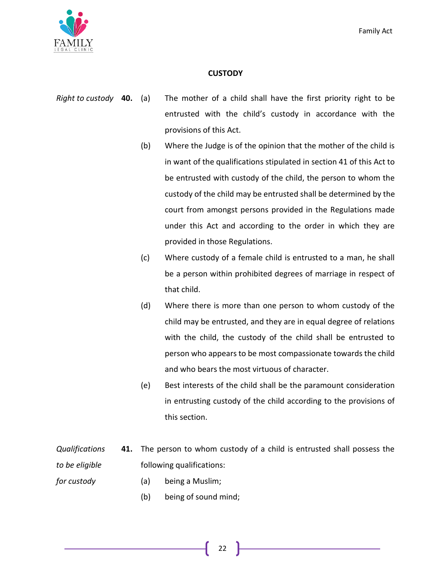

# **CUSTODY**

- *Right to custody* **40.** (a) The mother of a child shall have the first priority right to be entrusted with the child's custody in accordance with the provisions of this Act.
	- (b) Where the Judge is of the opinion that the mother of the child is in want of the qualifications stipulated in section 41 of this Act to be entrusted with custody of the child, the person to whom the custody of the child may be entrusted shall be determined by the court from amongst persons provided in the Regulations made under this Act and according to the order in which they are provided in those Regulations.
	- (c) Where custody of a female child is entrusted to a man, he shall be a person within prohibited degrees of marriage in respect of that child.
	- (d) Where there is more than one person to whom custody of the child may be entrusted, and they are in equal degree of relations with the child, the custody of the child shall be entrusted to person who appears to be most compassionate towards the child and who bears the most virtuous of character.
	- (e) Best interests of the child shall be the paramount consideration in entrusting custody of the child according to the provisions of this section.
- *Qualifications to be eligible*  **41.** The person to whom custody of a child is entrusted shall possess the following qualifications:

*for custody*

- (a) being a Muslim;
- (b) being of sound mind;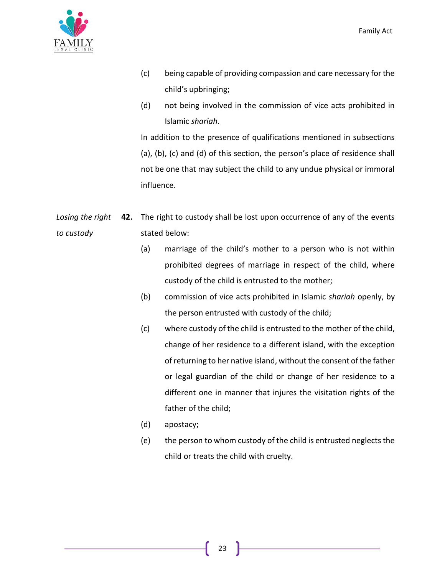

- (c) being capable of providing compassion and care necessary for the child's upbringing;
- (d) not being involved in the commission of vice acts prohibited in Islamic *shariah*.

In addition to the presence of qualifications mentioned in subsections (a), (b), (c) and (d) of this section, the person's place of residence shall not be one that may subject the child to any undue physical or immoral influence.

- *Losing the right to custody* **42.** The right to custody shall be lost upon occurrence of any of the events stated below:
	- (a) marriage of the child's mother to a person who is not within prohibited degrees of marriage in respect of the child, where custody of the child is entrusted to the mother;
	- (b) commission of vice acts prohibited in Islamic *shariah* openly, by the person entrusted with custody of the child;
	- (c) where custody of the child is entrusted to the mother of the child, change of her residence to a different island, with the exception of returning to her native island, without the consent of the father or legal guardian of the child or change of her residence to a different one in manner that injures the visitation rights of the father of the child;
	- (d) apostacy;
	- (e) the person to whom custody of the child is entrusted neglects the child or treats the child with cruelty.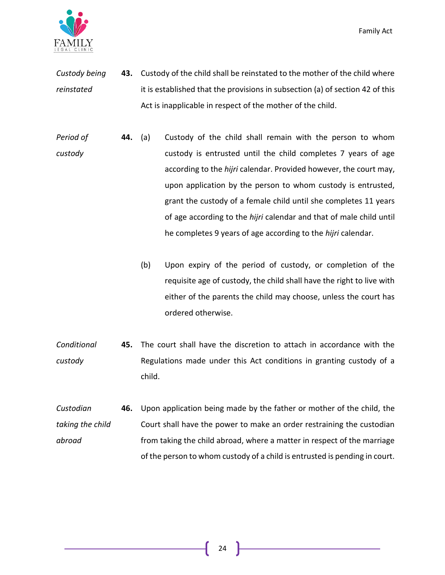

- *Custody being reinstated* **43.** Custody of the child shall be reinstated to the mother of the child where it is established that the provisions in subsection (a) of section 42 of this Act is inapplicable in respect of the mother of the child.
- *Period of custody* **44.** (a) Custody of the child shall remain with the person to whom custody is entrusted until the child completes 7 years of age according to the *hijri* calendar. Provided however, the court may, upon application by the person to whom custody is entrusted, grant the custody of a female child until she completes 11 years of age according to the *hijri* calendar and that of male child until he completes 9 years of age according to the *hijri* calendar.
	- (b) Upon expiry of the period of custody, or completion of the requisite age of custody, the child shall have the right to live with either of the parents the child may choose, unless the court has ordered otherwise.
- *Conditional custody* **45.** The court shall have the discretion to attach in accordance with the Regulations made under this Act conditions in granting custody of a child.
- *Custodian taking the child abroad* **46.** Upon application being made by the father or mother of the child, the Court shall have the power to make an order restraining the custodian from taking the child abroad, where a matter in respect of the marriage of the person to whom custody of a child is entrusted is pending in court.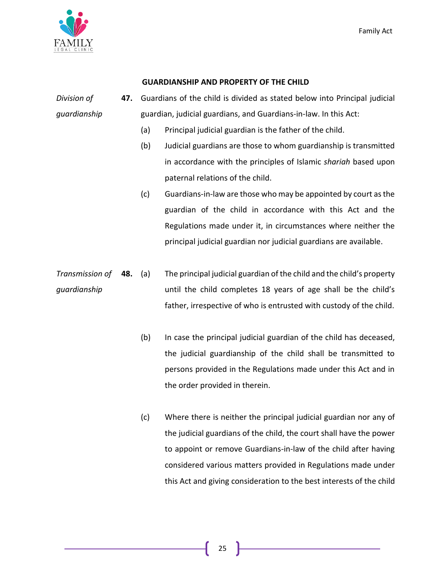

## **GUARDIANSHIP AND PROPERTY OF THE CHILD**

*Division of guardianship* **47.** Guardians of the child is divided as stated below into Principal judicial guardian, judicial guardians, and Guardians-in-law. In this Act:

- (a) Principal judicial guardian is the father of the child.
- (b) Judicial guardians are those to whom guardianship is transmitted in accordance with the principles of Islamic *shariah* based upon paternal relations of the child.
- (c) Guardians-in-law are those who may be appointed by court as the guardian of the child in accordance with this Act and the Regulations made under it, in circumstances where neither the principal judicial guardian nor judicial guardians are available.
- *Transmission of guardianship* **48.** (a) The principal judicial guardian of the child and the child's property until the child completes 18 years of age shall be the child's father, irrespective of who is entrusted with custody of the child.
	- (b) In case the principal judicial guardian of the child has deceased, the judicial guardianship of the child shall be transmitted to persons provided in the Regulations made under this Act and in the order provided in therein.
	- (c) Where there is neither the principal judicial guardian nor any of the judicial guardians of the child, the court shall have the power to appoint or remove Guardians-in-law of the child after having considered various matters provided in Regulations made under this Act and giving consideration to the best interests of the child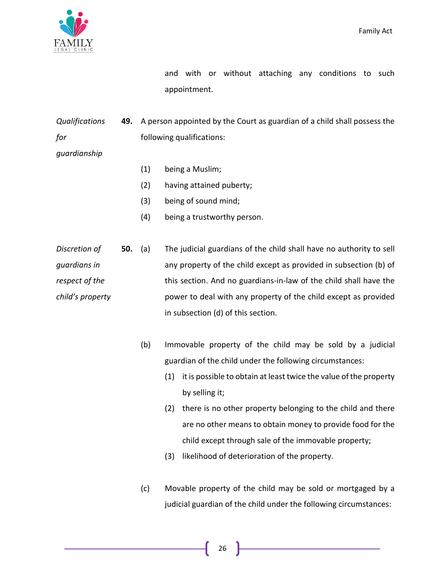

and with or without attaching any conditions to such appointment.

*Qualifications for*  **49.** A person appointed by the Court as guardian of a child shall possess the following qualifications:

*guardianship*

- (1) being a Muslim;
- (2) having attained puberty;
- (3) being of sound mind;
- (4) being a trustworthy person.
- *Discretion of guardians in respect of the child's property* **50.** (a) The judicial guardians of the child shall have no authority to sell any property of the child except as provided in subsection (b) of this section. And no guardians-in-law of the child shall have the power to deal with any property of the child except as provided in subsection (d) of this section.
	- (b) Immovable property of the child may be sold by a judicial guardian of the child under the following circumstances:
		- (1) it is possible to obtain at least twice the value of the property by selling it;
		- (2) there is no other property belonging to the child and there are no other means to obtain money to provide food for the child except through sale of the immovable property;
		- (3) likelihood of deterioration of the property.
	- (c) Movable property of the child may be sold or mortgaged by a judicial guardian of the child under the following circumstances: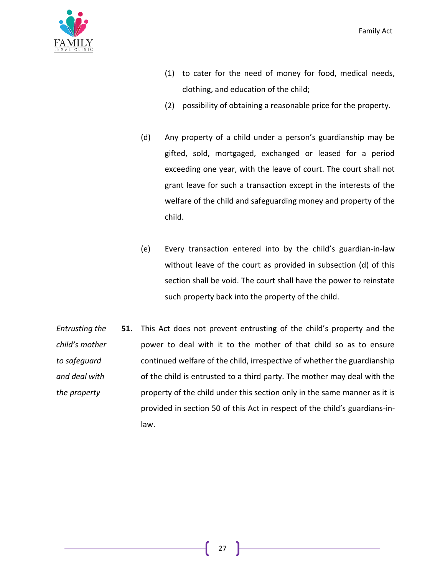

- (1) to cater for the need of money for food, medical needs, clothing, and education of the child;
- (2) possibility of obtaining a reasonable price for the property.
- (d) Any property of a child under a person's guardianship may be gifted, sold, mortgaged, exchanged or leased for a period exceeding one year, with the leave of court. The court shall not grant leave for such a transaction except in the interests of the welfare of the child and safeguarding money and property of the child.
- (e) Every transaction entered into by the child's guardian-in-law without leave of the court as provided in subsection (d) of this section shall be void. The court shall have the power to reinstate such property back into the property of the child.
- *Entrusting the child's mother to safeguard and deal with the property* **51.** This Act does not prevent entrusting of the child's property and the power to deal with it to the mother of that child so as to ensure continued welfare of the child, irrespective of whether the guardianship of the child is entrusted to a third party. The mother may deal with the property of the child under this section only in the same manner as it is provided in section 50 of this Act in respect of the child's guardians-inlaw.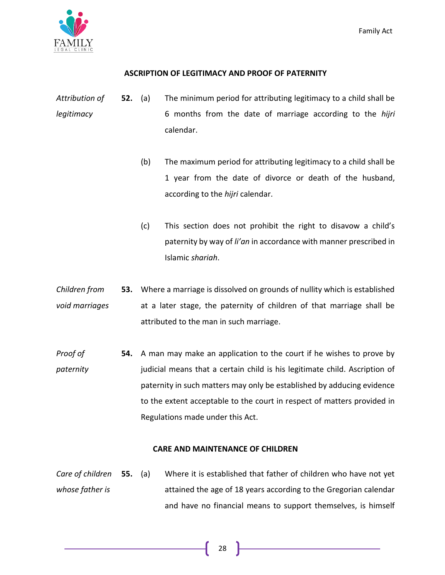

# **ASCRIPTION OF LEGITIMACY AND PROOF OF PATERNITY**

- *Attribution of legitimacy* **52.** (a) The minimum period for attributing legitimacy to a child shall be 6 months from the date of marriage according to the *hijri* calendar.
	- (b) The maximum period for attributing legitimacy to a child shall be 1 year from the date of divorce or death of the husband, according to the *hijri* calendar.
	- (c) This section does not prohibit the right to disavow a child's paternity by way of *li'an* in accordance with manner prescribed in Islamic *shariah*.
- *Children from void marriages* **53.** Where a marriage is dissolved on grounds of nullity which is established at a later stage, the paternity of children of that marriage shall be attributed to the man in such marriage.
- *Proof of paternity* **54.** A man may make an application to the court if he wishes to prove by judicial means that a certain child is his legitimate child. Ascription of paternity in such matters may only be established by adducing evidence to the extent acceptable to the court in respect of matters provided in Regulations made under this Act.

# **CARE AND MAINTENANCE OF CHILDREN**

*Care of children whose father is*  **55.** (a) Where it is established that father of children who have not yet attained the age of 18 years according to the Gregorian calendar and have no financial means to support themselves, is himself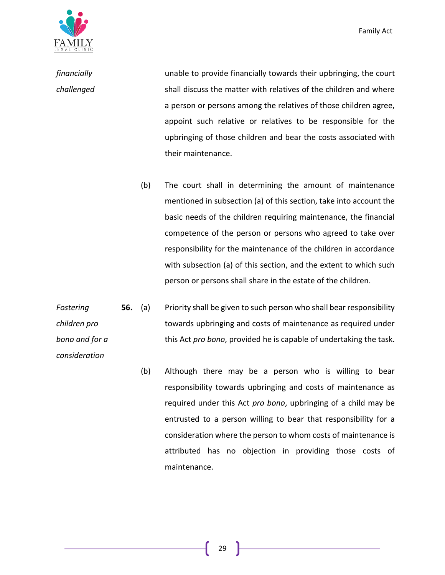

*consideration*

*financially challenged* unable to provide financially towards their upbringing, the court shall discuss the matter with relatives of the children and where a person or persons among the relatives of those children agree, appoint such relative or relatives to be responsible for the upbringing of those children and bear the costs associated with their maintenance.

> (b) The court shall in determining the amount of maintenance mentioned in subsection (a) of this section, take into account the basic needs of the children requiring maintenance, the financial competence of the person or persons who agreed to take over responsibility for the maintenance of the children in accordance with subsection (a) of this section, and the extent to which such person or persons shall share in the estate of the children.

*Fostering children pro bono and for a*  **56.** (a) Priority shall be given to such person who shall bear responsibility towards upbringing and costs of maintenance as required under this Act *pro bono*, provided he is capable of undertaking the task.

> (b) Although there may be a person who is willing to bear responsibility towards upbringing and costs of maintenance as required under this Act *pro bono*, upbringing of a child may be entrusted to a person willing to bear that responsibility for a consideration where the person to whom costs of maintenance is attributed has no objection in providing those costs of maintenance.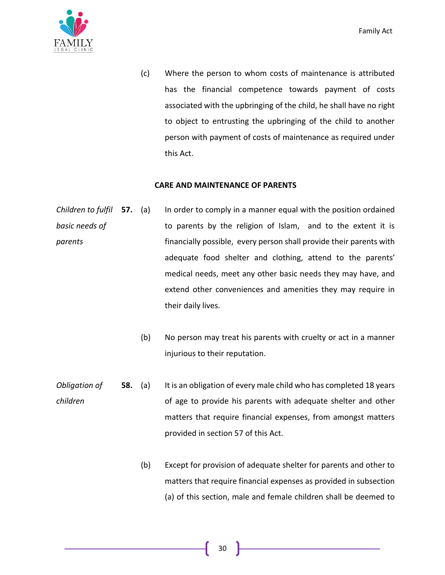

(c) Where the person to whom costs of maintenance is attributed has the financial competence towards payment of costs associated with the upbringing of the child, he shall have no right to object to entrusting the upbringing of the child to another person with payment of costs of maintenance as required under this Act.

#### **CARE AND MAINTENANCE OF PARENTS**

- *Children to fulfil basic needs of parents* In order to comply in a manner equal with the position ordained to parents by the religion of Islam, and to the extent it is financially possible, every person shall provide their parents with adequate food shelter and clothing, attend to the parents' medical needs, meet any other basic needs they may have, and extend other conveniences and amenities they may require in their daily lives.
	- (b) No person may treat his parents with cruelty or act in a manner injurious to their reputation.
- *Obligation of children* **58.** (a) It is an obligation of every male child who has completed 18 years of age to provide his parents with adequate shelter and other matters that require financial expenses, from amongst matters provided in section 57 of this Act.
	- (b) Except for provision of adequate shelter for parents and other to matters that require financial expenses as provided in subsection (a) of this section, male and female children shall be deemed to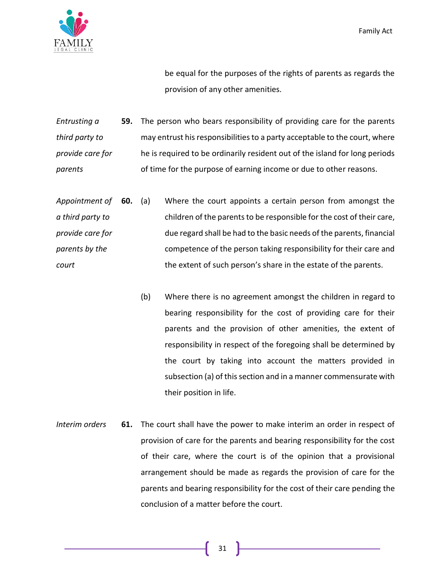

be equal for the purposes of the rights of parents as regards the provision of any other amenities.

*Entrusting a third party to provide care for parents* **59.** The person who bears responsibility of providing care for the parents may entrust his responsibilities to a party acceptable to the court, where he is required to be ordinarily resident out of the island for long periods of time for the purpose of earning income or due to other reasons.

- *Appointment of a third party to provide care for parents by the court* **60.** (a) Where the court appoints a certain person from amongst the children of the parents to be responsible for the cost of their care, due regard shall be had to the basic needs of the parents, financial competence of the person taking responsibility for their care and the extent of such person's share in the estate of the parents.
	- (b) Where there is no agreement amongst the children in regard to bearing responsibility for the cost of providing care for their parents and the provision of other amenities, the extent of responsibility in respect of the foregoing shall be determined by the court by taking into account the matters provided in subsection (a) of this section and in a manner commensurate with their position in life.
- *Interim orders* **61.** The court shall have the power to make interim an order in respect of provision of care for the parents and bearing responsibility for the cost of their care, where the court is of the opinion that a provisional arrangement should be made as regards the provision of care for the parents and bearing responsibility for the cost of their care pending the conclusion of a matter before the court.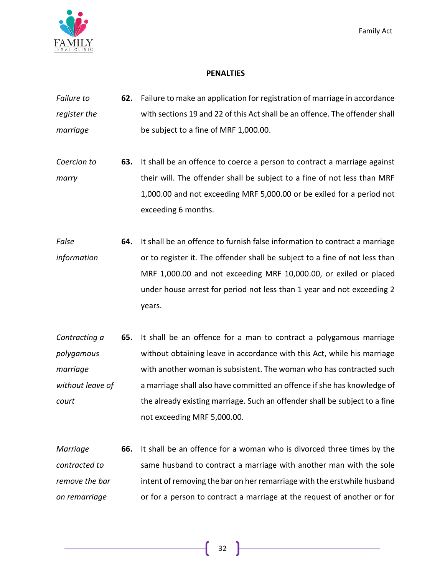

## **PENALTIES**

- *Failure to register the marriage* **62.** Failure to make an application for registration of marriage in accordance with sections 19 and 22 of this Act shall be an offence. The offender shall be subject to a fine of MRF 1,000.00.
- *Coercion to marry* **63.** It shall be an offence to coerce a person to contract a marriage against their will. The offender shall be subject to a fine of not less than MRF 1,000.00 and not exceeding MRF 5,000.00 or be exiled for a period not exceeding 6 months.
- *False information* **64.** It shall be an offence to furnish false information to contract a marriage or to register it. The offender shall be subject to a fine of not less than MRF 1,000.00 and not exceeding MRF 10,000.00, or exiled or placed under house arrest for period not less than 1 year and not exceeding 2 years.
- *Contracting a polygamous marriage without leave of court* **65.** It shall be an offence for a man to contract a polygamous marriage without obtaining leave in accordance with this Act, while his marriage with another woman is subsistent. The woman who has contracted such a marriage shall also have committed an offence if she has knowledge of the already existing marriage. Such an offender shall be subject to a fine not exceeding MRF 5,000.00.
- *Marriage contracted to remove the bar on remarriage*  **66.** It shall be an offence for a woman who is divorced three times by the same husband to contract a marriage with another man with the sole intent of removing the bar on her remarriage with the erstwhile husband or for a person to contract a marriage at the request of another or for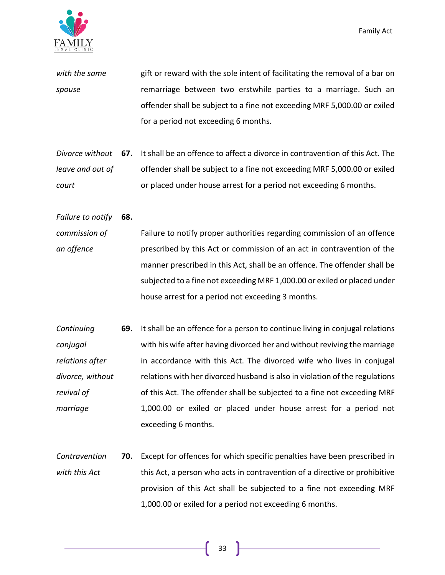

*with the same spouse* gift or reward with the sole intent of facilitating the removal of a bar on remarriage between two erstwhile parties to a marriage. Such an offender shall be subject to a fine not exceeding MRF 5,000.00 or exiled for a period not exceeding 6 months.

- *Divorce without*  **67.** It shall be an offence to affect a divorce in contravention of this Act. The *leave and out of court* offender shall be subject to a fine not exceeding MRF 5,000.00 or exiled or placed under house arrest for a period not exceeding 6 months.
- *Failure to notify*  **68.**
- *commission of an offence* Failure to notify proper authorities regarding commission of an offence prescribed by this Act or commission of an act in contravention of the manner prescribed in this Act, shall be an offence. The offender shall be subjected to a fine not exceeding MRF 1,000.00 or exiled or placed under house arrest for a period not exceeding 3 months.
- *Continuing conjugal relations after divorce, without revival of marriage* **69.** It shall be an offence for a person to continue living in conjugal relations with his wife after having divorced her and without reviving the marriage in accordance with this Act. The divorced wife who lives in conjugal relations with her divorced husband is also in violation of the regulations of this Act. The offender shall be subjected to a fine not exceeding MRF 1,000.00 or exiled or placed under house arrest for a period not exceeding 6 months.
- *Contravention with this Act* **70.** Except for offences for which specific penalties have been prescribed in this Act, a person who acts in contravention of a directive or prohibitive provision of this Act shall be subjected to a fine not exceeding MRF 1,000.00 or exiled for a period not exceeding 6 months.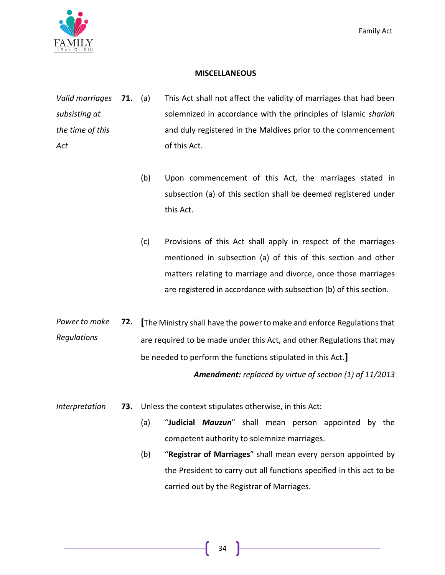

#### **MISCELLANEOUS**

- *Valid marriages subsisting at the time of this Act* This Act shall not affect the validity of marriages that had been solemnized in accordance with the principles of Islamic *shariah* and duly registered in the Maldives prior to the commencement of this Act.
	- (b) Upon commencement of this Act, the marriages stated in subsection (a) of this section shall be deemed registered under this Act.
	- (c) Provisions of this Act shall apply in respect of the marriages mentioned in subsection (a) of this of this section and other matters relating to marriage and divorce, once those marriages are registered in accordance with subsection (b) of this section.
- *Power to make Regulations* **72. [**The Ministry shall have the power to make and enforce Regulations that are required to be made under this Act, and other Regulations that may be needed to perform the functions stipulated in this Act.**]**

*Amendment: replaced by virtue of section (1) of 11/2013*

- *Interpretation* **73.** Unless the context stipulates otherwise, in this Act:
	- (a) "**Judicial** *Mauzun*" shall mean person appointed by the competent authority to solemnize marriages.
	- (b) "**Registrar of Marriages**" shall mean every person appointed by the President to carry out all functions specified in this act to be carried out by the Registrar of Marriages.